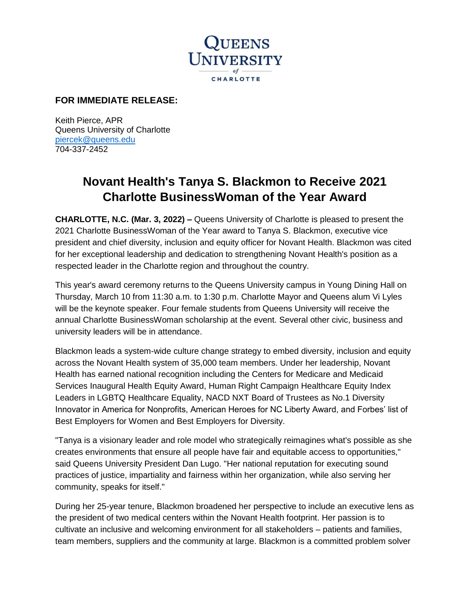

## **FOR IMMEDIATE RELEASE:**

Keith Pierce, APR Queens University of Charlotte [piercek@queens.edu](mailto:piercek@queens.edu) 704-337-2452

## **Novant Health's Tanya S. Blackmon to Receive 2021 Charlotte BusinessWoman of the Year Award**

**CHARLOTTE, N.C. (Mar. 3, 2022) –** Queens University of Charlotte is pleased to present the 2021 Charlotte BusinessWoman of the Year award to Tanya S. Blackmon, executive vice president and chief diversity, inclusion and equity officer for Novant Health. Blackmon was cited for her exceptional leadership and dedication to strengthening Novant Health's position as a respected leader in the Charlotte region and throughout the country.

This year's award ceremony returns to the Queens University campus in Young Dining Hall on Thursday, March 10 from 11:30 a.m. to 1:30 p.m. Charlotte Mayor and Queens alum Vi Lyles will be the keynote speaker. Four female students from Queens University will receive the annual Charlotte BusinessWoman scholarship at the event. Several other civic, business and university leaders will be in attendance.

Blackmon leads a system-wide culture change strategy to embed diversity, inclusion and equity across the Novant Health system of 35,000 team members. Under her leadership, Novant Health has earned national recognition including the Centers for Medicare and Medicaid Services Inaugural Health Equity Award, Human Right Campaign Healthcare Equity Index Leaders in LGBTQ Healthcare Equality, NACD NXT Board of Trustees as No.1 Diversity Innovator in America for Nonprofits, American Heroes for NC Liberty Award, and Forbes' list of Best Employers for Women and Best Employers for Diversity.

"Tanya is a visionary leader and role model who strategically reimagines what's possible as she creates environments that ensure all people have fair and equitable access to opportunities," said Queens University President Dan Lugo. "Her national reputation for executing sound practices of justice, impartiality and fairness within her organization, while also serving her community, speaks for itself."

During her 25-year tenure, Blackmon broadened her perspective to include an executive lens as the president of two medical centers within the Novant Health footprint. Her passion is to cultivate an inclusive and welcoming environment for all stakeholders – patients and families, team members, suppliers and the community at large. Blackmon is a committed problem solver